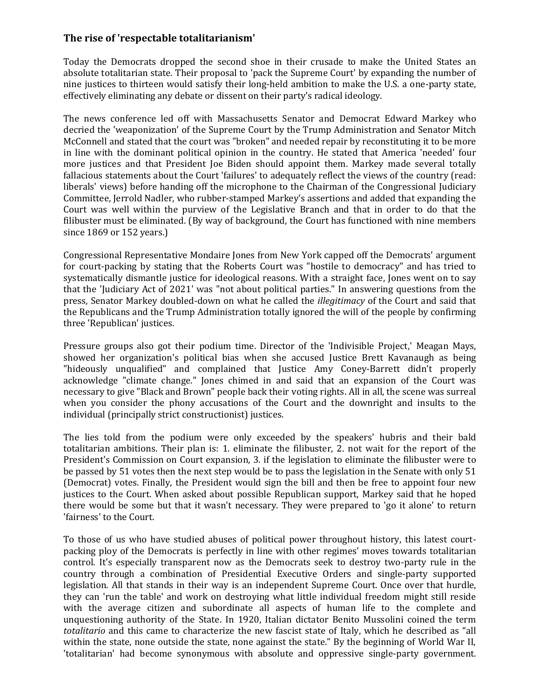## **The rise of 'respectable totalitarianism'**

Today the Democrats dropped the second shoe in their crusade to make the United States an absolute totalitarian state. Their proposal to 'pack the Supreme Court' by expanding the number of nine justices to thirteen would satisfy their long-held ambition to make the U.S. a one-party state, effectively eliminating any debate or dissent on their party's radical ideology.

The news conference led off with Massachusetts Senator and Democrat Edward Markey who decried the 'weaponization' of the Supreme Court by the Trump Administration and Senator Mitch McConnell and stated that the court was "broken" and needed repair by reconstituting it to be more in line with the dominant political opinion in the country. He stated that America 'needed' four more justices and that President Joe Biden should appoint them. Markey made several totally fallacious statements about the Court 'failures' to adequately reflect the views of the country (read: liberals' views) before handing off the microphone to the Chairman of the Congressional Judiciary Committee, Jerrold Nadler, who rubber-stamped Markey's assertions and added that expanding the Court was well within the purview of the Legislative Branch and that in order to do that the filibuster must be eliminated. (By way of background, the Court has functioned with nine members since 1869 or 152 years.)

Congressional Representative Mondaire Jones from New York capped off the Democrats' argument for court-packing by stating that the Roberts Court was "hostile to democracy" and has tried to systematically dismantle justice for ideological reasons. With a straight face, Jones went on to say that the 'Judiciary Act of 2021' was "not about political parties." In answering questions from the press, Senator Markey doubled-down on what he called the *illegitimacy* of the Court and said that the Republicans and the Trump Administration totally ignored the will of the people by confirming three 'Republican' justices.

Pressure groups also got their podium time. Director of the 'Indivisible Project,' Meagan Mays, showed her organization's political bias when she accused Justice Brett Kavanaugh as being "hideously unqualified" and complained that Justice Amy Coney-Barrett didn't properly acknowledge "climate change." Jones chimed in and said that an expansion of the Court was necessary to give "Black and Brown" people back their voting rights. All in all, the scene was surreal when you consider the phony accusations of the Court and the downright and insults to the individual (principally strict constructionist) justices.

The lies told from the podium were only exceeded by the speakers' hubris and their bald totalitarian ambitions. Their plan is: 1. eliminate the filibuster, 2. not wait for the report of the President's Commission on Court expansion, 3. if the legislation to eliminate the filibuster were to be passed by 51 votes then the next step would be to pass the legislation in the Senate with only 51 (Democrat) votes. Finally, the President would sign the bill and then be free to appoint four new justices to the Court. When asked about possible Republican support, Markey said that he hoped there would be some but that it wasn't necessary. They were prepared to 'go it alone' to return 'fairness' to the Court.

To those of us who have studied abuses of political power throughout history, this latest courtpacking ploy of the Democrats is perfectly in line with other regimes' moves towards totalitarian control. It's especially transparent now as the Democrats seek to destroy two-party rule in the country through a combination of Presidential Executive Orders and single-party supported legislation. All that stands in their way is an independent Supreme Court. Once over that hurdle, they can 'run the table' and work on destroying what little individual freedom might still reside with the average citizen and subordinate all aspects of human life to the complete and unquestioning authority of the State. In 1920, Italian dictator Benito Mussolini coined the term *totalitario* and this came to characterize the new fascist state of Italy, which he described as "all within the state, none outside the state, none against the state." By the beginning of World War II, 'totalitarian' had become synonymous with absolute and oppressive single-party government.